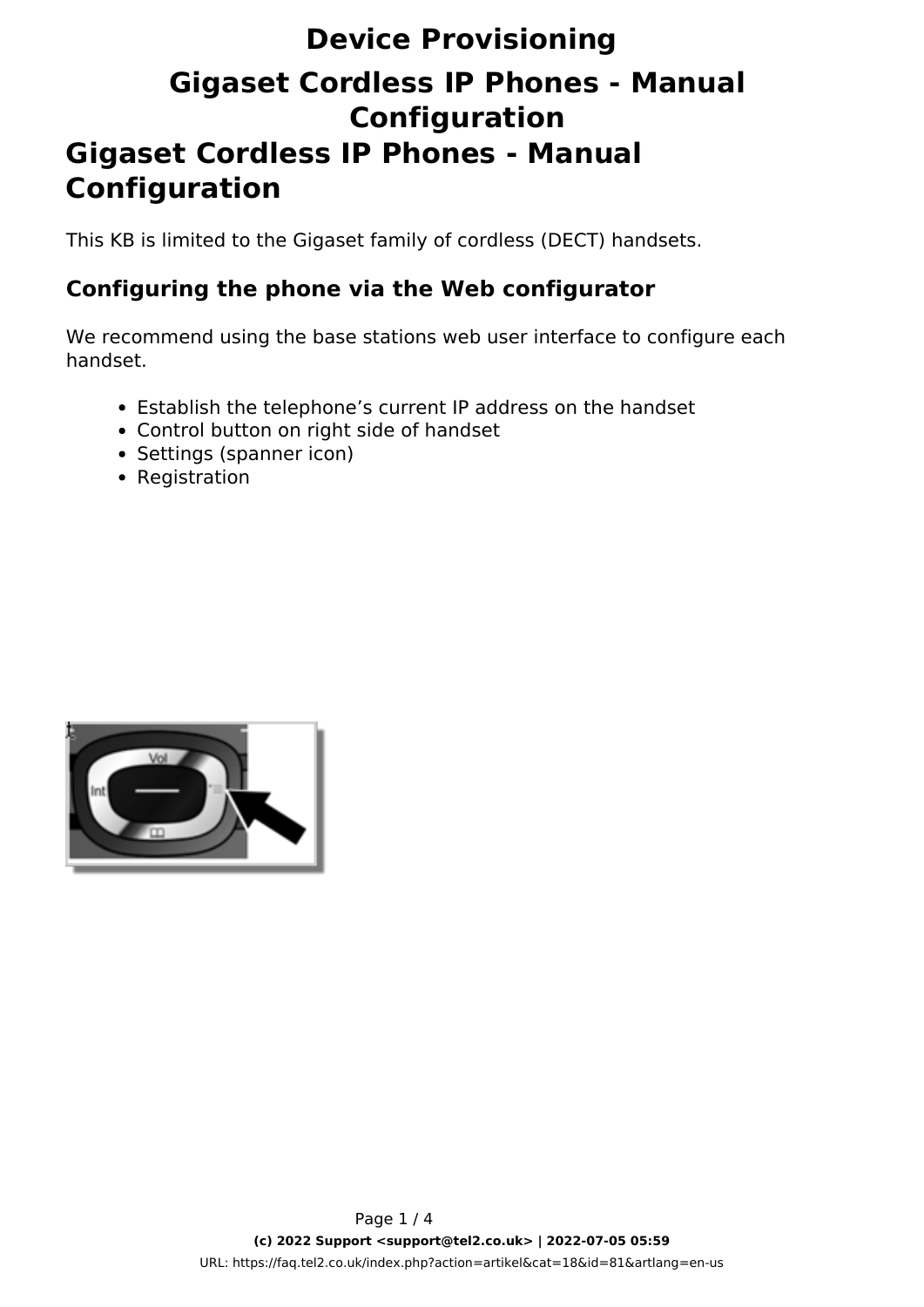# **Device Provisioning Gigaset Cordless IP Phones - Manual Configuration Gigaset Cordless IP Phones - Manual Configuration**

This KB is limited to the Gigaset family of cordless (DECT) handsets.

#### **Configuring the phone via the Web configurator**

We recommend using the base stations web user interface to configure each handset.

- Establish the telephone's current IP address on the handset
- Control button on right side of handset
- Settings (spanner icon)
- Registration

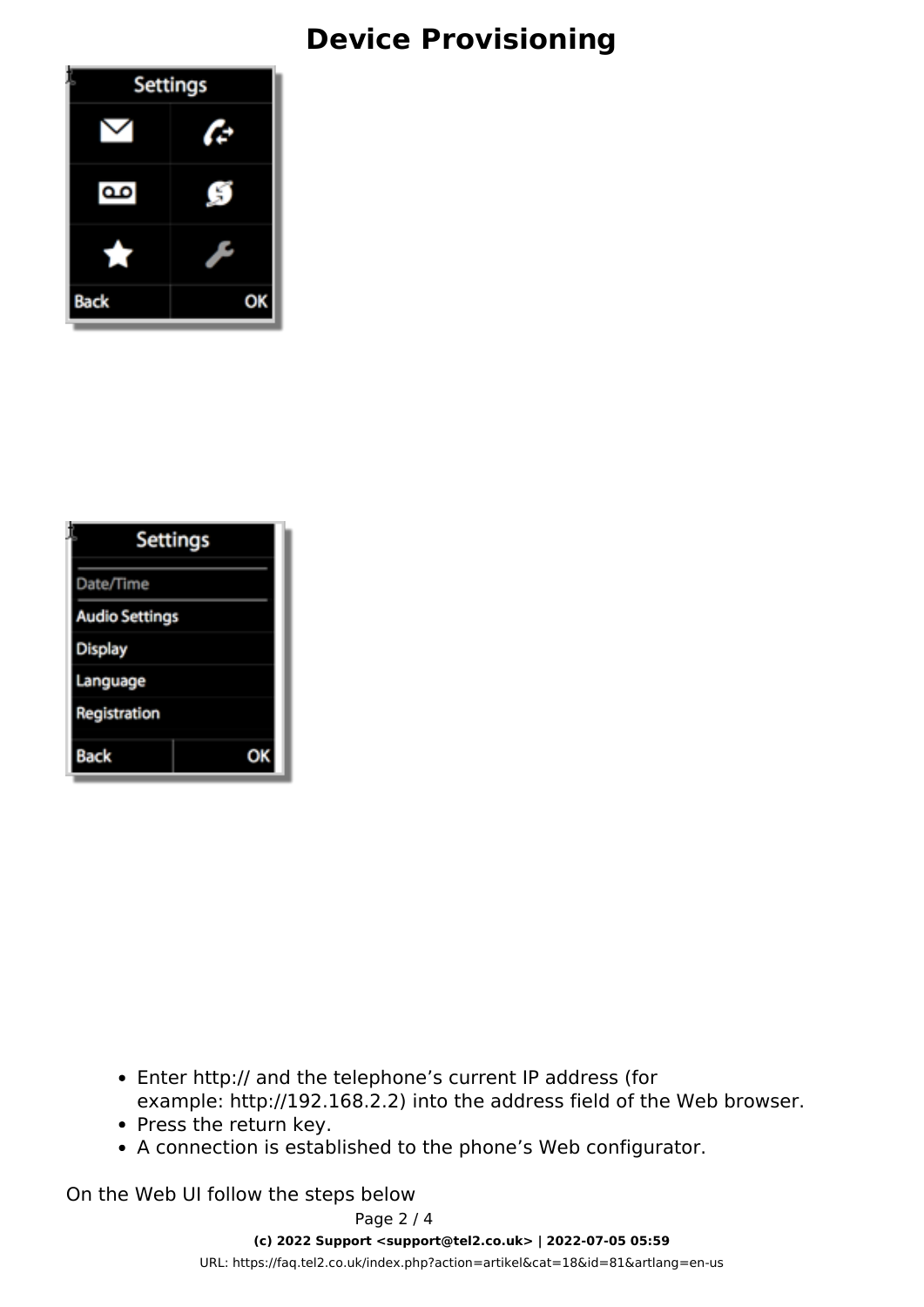## **Device Provisioning**



| <b>Settings</b>       |  |
|-----------------------|--|
| Date/Time             |  |
| <b>Audio Settings</b> |  |
| Display               |  |
| Language              |  |
| Registration          |  |
| Back                  |  |

- Enter http:// and the telephone's current IP address (for example: http://192.168.2.2) into the address field of the Web browser.
- Press the return key.
- A connection is established to the phone's Web configurator.

On the Web UI follow the steps below

Page 2 / 4

**(c) 2022 Support <support@tel2.co.uk> | 2022-07-05 05:59**

[URL: https://faq.tel2.co.uk/index.php?action=artikel&cat=18&id=81&artlang=en-us](https://faq.tel2.co.uk/index.php?action=artikel&cat=18&id=81&artlang=en-us)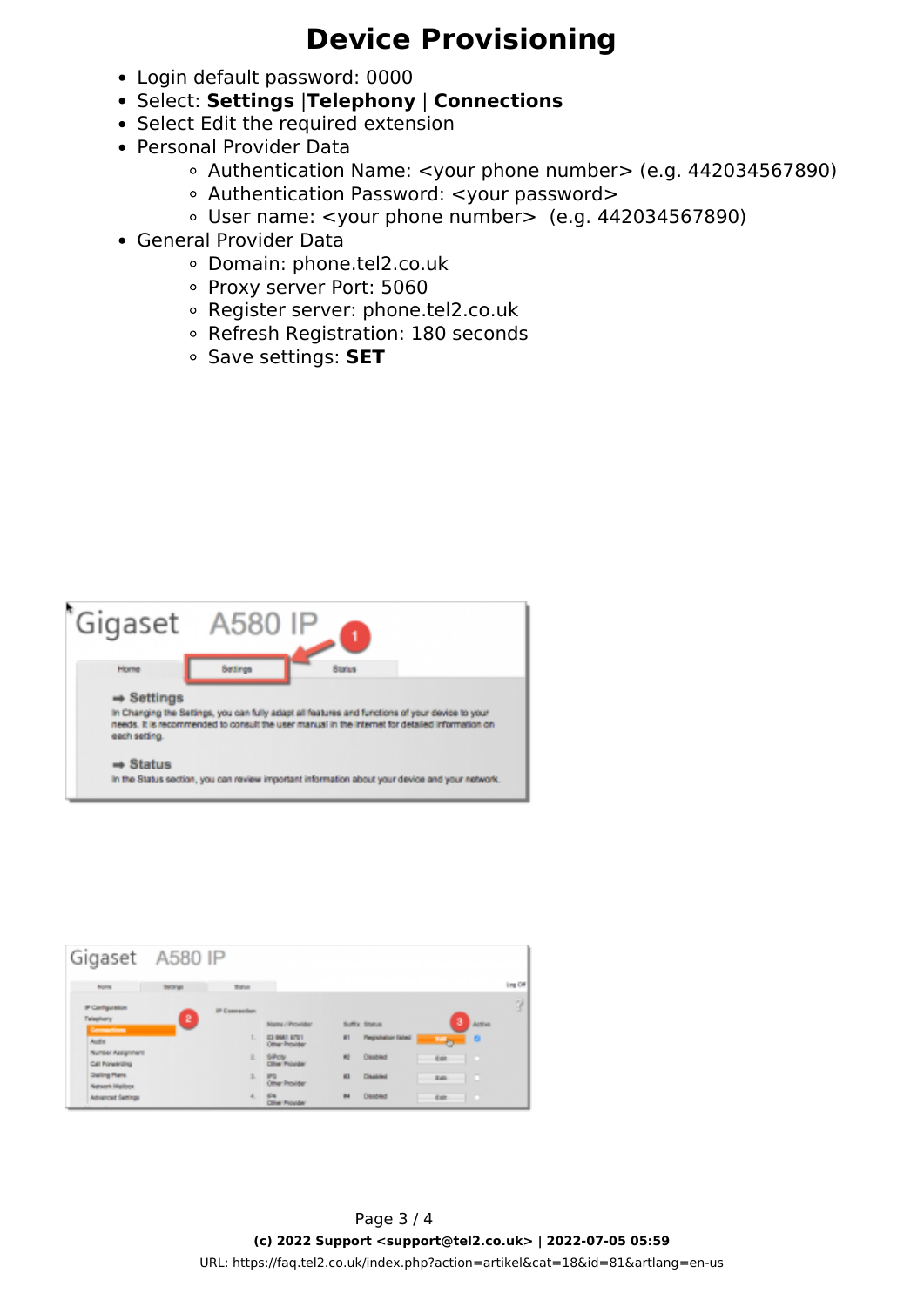### **Device Provisioning**

- Login default password: 0000
- Select: **Settings** |**Telephony** | **Connections**
- Select Edit the required extension
- Personal Provider Data
	- Authentication Name: <your phone number> (e.g. 442034567890)
	- Authentication Password: <your password>
	- User name: <your phone number> (e.g. 442034567890)
- General Provider Data
	- Domain: phone.tel2.co.uk
	- Proxy server Port: 5060
	- Register server: phone.tel2.co.uk
	- Refresh Registration: 180 seconds
	- Save settings: **SET**